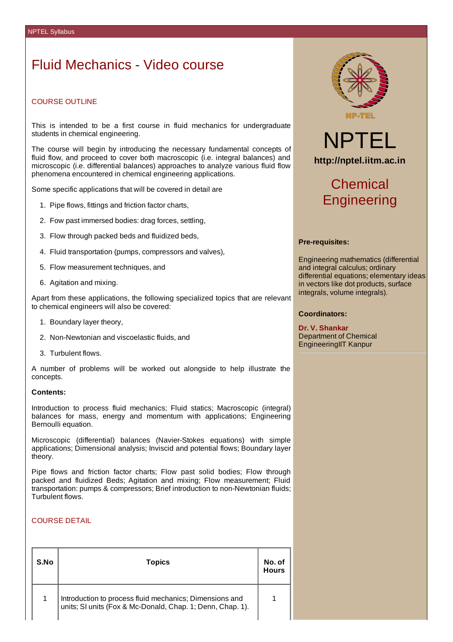## Fluid Mechanics - Video course

## COURSE OUTLINE

This is intended to be a first course in fluid mechanics for undergraduate students in chemical engineering.

The course will begin by introducing the necessary fundamental concepts of fluid flow, and proceed to cover both macroscopic (i.e. integral balances) and microscopic (i.e. differential balances) approaches to analyze various fluid flow phenomena encountered in chemical engineering applications.

Some specific applications that will be covered in detail are

- 1. Pipe flows, fittings and friction factor charts,
- 2. Fow past immersed bodies: drag forces, settling,
- 3. Flow through packed beds and fluidized beds,
- 4. Fluid transportation (pumps, compressors and valves),
- 5. Flow measurement techniques, and
- 6. Agitation and mixing.

Apart from these applications, the following specialized topics that are relevant to chemical engineers will also be covered:

- 1. Boundary layer theory,
- 2. Non-Newtonian and viscoelastic fluids, and
- 3. Turbulent flows.

A number of problems will be worked out alongside to help illustrate the concepts.

### **Contents:**

Introduction to process fluid mechanics; Fluid statics; Macroscopic (integral) balances for mass, energy and momentum with applications; Engineering Bernoulli equation.

Microscopic (differential) balances (Navier-Stokes equations) with simple applications; Dimensional analysis; Inviscid and potential flows; Boundary layer theory.

Pipe flows and friction factor charts; Flow past solid bodies; Flow through packed and fluidized Beds; Agitation and mixing; Flow measurement; Fluid transportation: pumps & compressors; Brief introduction to non-Newtonian fluids; Turbulent flows.

### COURSE DETAIL

| S.No | <b>Topics</b>                                                                                                         | No. of<br>Hours |
|------|-----------------------------------------------------------------------------------------------------------------------|-----------------|
|      | Introduction to process fluid mechanics; Dimensions and<br>units; SI units (Fox & Mc-Donald, Chap. 1; Denn, Chap. 1). |                 |



# NPTEL **http://nptel.iitm.ac.in**

# Chemical **Engineering**

### **Pre-requisites:**

Engineering mathematics (differential and integral calculus; ordinary differential equations; elementary ideas in vectors like dot products, surface integrals, volume integrals).

### **Coordinators:**

**Dr. V. Shankar** Department of Chemical EngineeringIIT Kanpur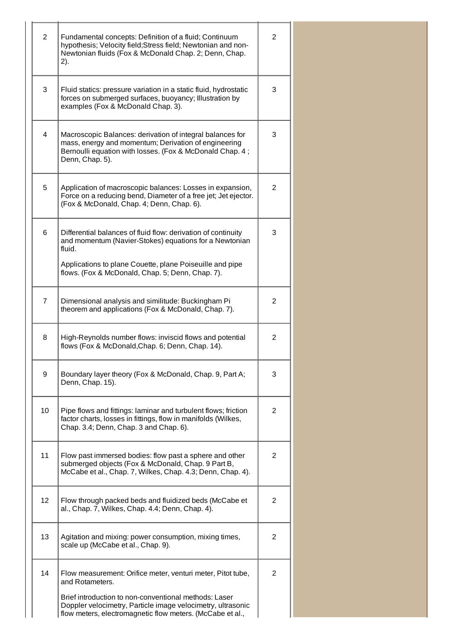| $\overline{2}$ | Fundamental concepts: Definition of a fluid; Continuum<br>hypothesis; Velocity field; Stress field; Newtonian and non-<br>Newtonian fluids (Fox & McDonald Chap. 2; Denn, Chap.<br>2).                                                                              | 2 |
|----------------|---------------------------------------------------------------------------------------------------------------------------------------------------------------------------------------------------------------------------------------------------------------------|---|
| 3              | Fluid statics: pressure variation in a static fluid, hydrostatic<br>forces on submerged surfaces, buoyancy; Illustration by<br>examples (Fox & McDonald Chap. 3).                                                                                                   | 3 |
| 4              | Macroscopic Balances: derivation of integral balances for<br>mass, energy and momentum; Derivation of engineering<br>Bernoulli equation with losses. (Fox & McDonald Chap. 4;<br>Denn, Chap. 5).                                                                    | 3 |
| 5              | Application of macroscopic balances: Losses in expansion,<br>Force on a reducing bend, Diameter of a free jet; Jet ejector.<br>(Fox & McDonald, Chap. 4; Denn, Chap. 6).                                                                                            | 2 |
| 6              | Differential balances of fluid flow: derivation of continuity<br>and momentum (Navier-Stokes) equations for a Newtonian<br>fluid.                                                                                                                                   | 3 |
|                | Applications to plane Couette, plane Poiseuille and pipe<br>flows. (Fox & McDonald, Chap. 5; Denn, Chap. 7).                                                                                                                                                        |   |
| $\overline{7}$ | Dimensional analysis and similitude: Buckingham Pi<br>theorem and applications (Fox & McDonald, Chap. 7).                                                                                                                                                           | 2 |
| 8              | High-Reynolds number flows: inviscid flows and potential<br>flows (Fox & McDonald, Chap. 6; Denn, Chap. 14).                                                                                                                                                        | 2 |
| 9              | Boundary layer theory (Fox & McDonald, Chap. 9, Part A;<br>Denn, Chap. 15).                                                                                                                                                                                         | 3 |
| 10             | Pipe flows and fittings: laminar and turbulent flows; friction<br>factor charts, losses in fittings, flow in manifolds (Wilkes,<br>Chap. 3.4; Denn, Chap. 3 and Chap. 6).                                                                                           | 2 |
| 11             | Flow past immersed bodies: flow past a sphere and other<br>submerged objects (Fox & McDonald, Chap. 9 Part B,<br>McCabe et al., Chap. 7, Wilkes, Chap. 4.3; Denn, Chap. 4).                                                                                         | 2 |
| 12             | Flow through packed beds and fluidized beds (McCabe et<br>al., Chap. 7, Wilkes, Chap. 4.4; Denn, Chap. 4).                                                                                                                                                          | 2 |
| 13             | Agitation and mixing: power consumption, mixing times,<br>scale up (McCabe et al., Chap. 9).                                                                                                                                                                        | 2 |
| 14             | Flow measurement: Orifice meter, venturi meter, Pitot tube,<br>and Rotameters.<br>Brief introduction to non-conventional methods: Laser<br>Doppler velocimetry, Particle image velocimetry, ultrasonic<br>flow meters, electromagnetic flow meters. (McCabe et al., | 2 |